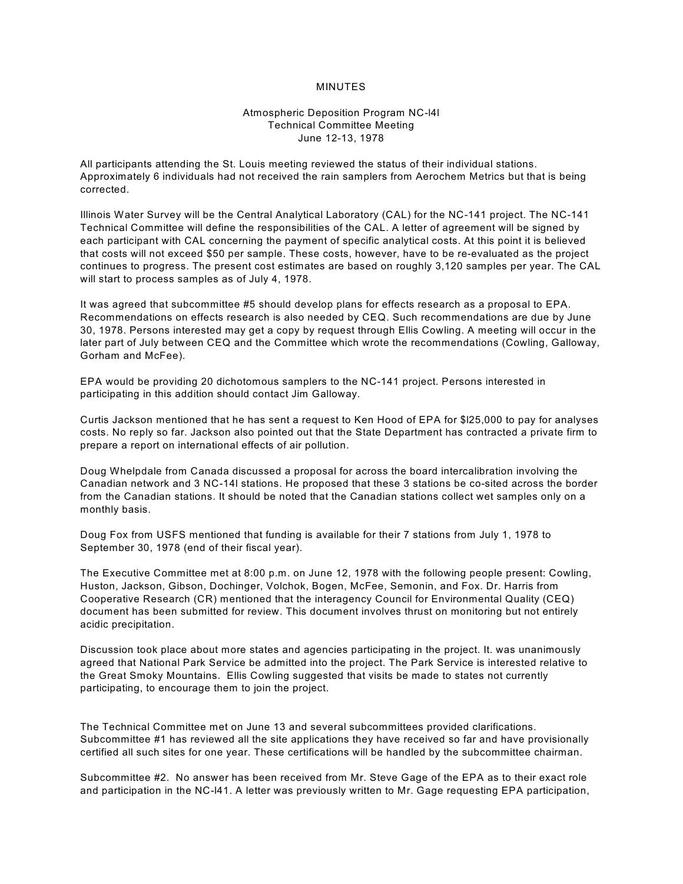## MINUTES

## Atmospheric Deposition Program NC-l4l Technical Committee Meeting June 12-13, 1978

All participants attending the St. Louis meeting reviewed the status of their individual stations. Approximately 6 individuals had not received the rain samplers from Aerochem Metrics but that is being corrected.

Illinois Water Survey will be the Central Analytical Laboratory (CAL) for the NC-141 project. The NC-141 Technical Committee will define the responsibilities of the CAL. A letter of agreement will be signed by each participant with CAL concerning the payment of specific analytical costs. At this point it is believed that costs will not exceed \$50 per sample. These costs, however, have to be re-evaluated as the project continues to progress. The present cost estimates are based on roughly 3,120 samples per year. The CAL will start to process samples as of July 4, 1978.

It was agreed that subcommittee #5 should develop plans for effects research as a proposal to EPA. Recommendations on effects research is also needed by CEQ. Such recommendations are due by June 30, 1978. Persons interested may get a copy by request through Ellis Cowling. A meeting will occur in the later part of July between CEQ and the Committee which wrote the recommendations (Cowling, Galloway, Gorham and McFee).

EPA would be providing 20 dichotomous samplers to the NC-141 project. Persons interested in participating in this addition should contact Jim Galloway.

Curtis Jackson mentioned that he has sent a request to Ken Hood of EPA for \$l25,000 to pay for analyses costs. No reply so far. Jackson also pointed out that the State Department has contracted a private firm to prepare a report on international effects of air pollution.

Doug Whelpdale from Canada discussed a proposal for across the board intercalibration involving the Canadian network and 3 NC-14l stations. He proposed that these 3 stations be co-sited across the border from the Canadian stations. It should be noted that the Canadian stations collect wet samples only on a monthly basis.

Doug Fox from USFS mentioned that funding is available for their 7 stations from July 1, 1978 to September 30, 1978 (end of their fiscal year).

The Executive Committee met at 8:00 p.m. on June 12, 1978 with the following people present: Cowling, Huston, Jackson, Gibson, Dochinger, Volchok, Bogen, McFee, Semonin, and Fox. Dr. Harris from Cooperative Research (CR) mentioned that the interagency Council for Environmental Quality (CEQ) document has been submitted for review. This document involves thrust on monitoring but not entirely acidic precipitation.

Discussion took place about more states and agencies participating in the project. It. was unanimously agreed that National Park Service be admitted into the project. The Park Service is interested relative to the Great Smoky Mountains. Ellis Cowling suggested that visits be made to states not currently participating, to encourage them to join the project.

The Technical Committee met on June 13 and several subcommittees provided clarifications. Subcommittee #1 has reviewed all the site applications they have received so far and have provisionally certified all such sites for one year. These certifications will be handled by the subcommittee chairman.

Subcommittee #2. No answer has been received from Mr. Steve Gage of the EPA as to their exact role and participation in the NC-l41. A letter was previously written to Mr. Gage requesting EPA participation,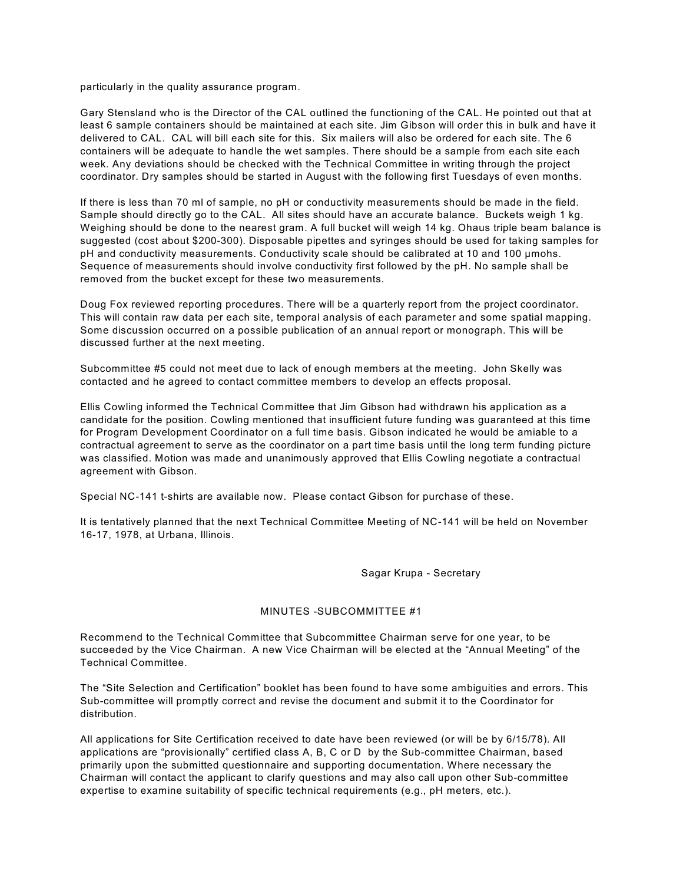particularly in the quality assurance program.

Gary Stensland who is the Director of the CAL outlined the functioning of the CAL. He pointed out that at least 6 sample containers should be maintained at each site. Jim Gibson will order this in bulk and have it delivered to CAL. CAL will bill each site for this. Six mailers will also be ordered for each site. The 6 containers will be adequate to handle the wet samples. There should be a sample from each site each week. Any deviations should be checked with the Technical Committee in writing through the project coordinator. Dry samples should be started in August with the following first Tuesdays of even months.

If there is less than 70 ml of sample, no pH or conductivity measurements should be made in the field. Sample should directly go to the CAL. All sites should have an accurate balance. Buckets weigh 1 kg. Weighing should be done to the nearest gram. A full bucket will weigh 14 kg. Ohaus triple beam balance is suggested (cost about \$200-300). Disposable pipettes and syringes should be used for taking samples for pH and conductivity measurements. Conductivity scale should be calibrated at 10 and 100 µmohs. Sequence of measurements should involve conductivity first followed by the pH. No sample shall be removed from the bucket except for these two measurements.

Doug Fox reviewed reporting procedures. There will be a quarterly report from the project coordinator. This will contain raw data per each site, temporal analysis of each parameter and some spatial mapping. Some discussion occurred on a possible publication of an annual report or monograph. This will be discussed further at the next meeting.

Subcommittee #5 could not meet due to lack of enough members at the meeting. John Skelly was contacted and he agreed to contact committee members to develop an effects proposal.

Ellis Cowling informed the Technical Committee that Jim Gibson had withdrawn his application as a candidate for the position. Cowling mentioned that insufficient future funding was guaranteed at this time for Program Development Coordinator on a full time basis. Gibson indicated he would be amiable to a contractual agreement to serve as the coordinator on a part time basis until the long term funding picture was classified. Motion was made and unanimously approved that Ellis Cowling negotiate a contractual agreement with Gibson.

Special NC-141 t-shirts are available now. Please contact Gibson for purchase of these.

It is tentatively planned that the next Technical Committee Meeting of NC-141 will be held on November 16-17, 1978, at Urbana, Illinois.

Sagar Krupa - Secretary

## MINUTES -SUBCOMMITTEE #1

Recommend to the Technical Committee that Subcommittee Chairman serve for one year, to be succeeded by the Vice Chairman. A new Vice Chairman will be elected at the "Annual Meeting" of the Technical Committee.

The "Site Selection and Certification" booklet has been found to have some ambiguities and errors. This Sub-committee will promptly correct and revise the document and submit it to the Coordinator for distribution.

All applications for Site Certification received to date have been reviewed (or will be by 6/15/78). All applications are "provisionally" certified class A, B, C or D by the Sub-committee Chairman, based primarily upon the submitted questionnaire and supporting documentation. Where necessary the Chairman will contact the applicant to clarify questions and may also call upon other Sub-committee expertise to examine suitability of specific technical requirements (e.g., pH meters, etc.).